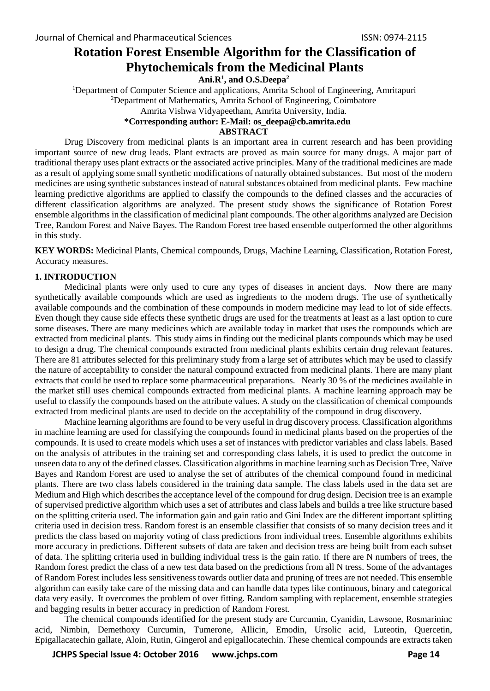# **Rotation Forest Ensemble Algorithm for the Classification of Phytochemicals from the Medicinal Plants**

**Ani.R<sup>1</sup> , and O.S.Deepa<sup>2</sup>**

<sup>1</sup>Department of Computer Science and applications, Amrita School of Engineering, Amritapuri <sup>2</sup>Department of Mathematics, Amrita School of Engineering, Coimbatore Amrita Vishwa Vidyapeetham, Amrita University, India.  **\*Corresponding author: E-Mail: os\_deepa@cb.amrita.edu**

### **ABSTRACT**

Drug Discovery from medicinal plants is an important area in current research and has been providing important source of new drug leads. Plant extracts are proved as main source for many drugs. A major part of traditional therapy uses plant extracts or the associated active principles. Many of the traditional medicines are made as a result of applying some small synthetic modifications of naturally obtained substances. But most of the modern medicines are using synthetic substances instead of natural substances obtained from medicinal plants. Few machine learning predictive algorithms are applied to classify the compounds to the defined classes and the accuracies of different classification algorithms are analyzed. The present study shows the significance of Rotation Forest ensemble algorithms in the classification of medicinal plant compounds. The other algorithms analyzed are Decision Tree, Random Forest and Naive Bayes. The Random Forest tree based ensemble outperformed the other algorithms in this study.

**KEY WORDS:** Medicinal Plants, Chemical compounds, Drugs, Machine Learning, Classification, Rotation Forest, Accuracy measures.

### **1. INTRODUCTION**

Medicinal plants were only used to cure any types of diseases in ancient days. Now there are many synthetically available compounds which are used as ingredients to the modern drugs. The use of synthetically available compounds and the combination of these compounds in modern medicine may lead to lot of side effects. Even though they cause side effects these synthetic drugs are used for the treatments at least as a last option to cure some diseases. There are many medicines which are available today in market that uses the compounds which are extracted from medicinal plants. This study aims in finding out the medicinal plants compounds which may be used to design a drug. The chemical compounds extracted from medicinal plants exhibits certain drug relevant features. There are 81 attributes selected for this preliminary study from a large set of attributes which may be used to classify the nature of acceptability to consider the natural compound extracted from medicinal plants. There are many plant extracts that could be used to replace some pharmaceutical preparations. Nearly 30 % of the medicines available in the market still uses chemical compounds extracted from medicinal plants. A machine learning approach may be useful to classify the compounds based on the attribute values. A study on the classification of chemical compounds extracted from medicinal plants are used to decide on the acceptability of the compound in drug discovery.

Machine learning algorithms are found to be very useful in drug discovery process. Classification algorithms in machine learning are used for classifying the compounds found in medicinal plants based on the properties of the compounds. It is used to create models which uses a set of instances with predictor variables and class labels. Based on the analysis of attributes in the training set and corresponding class labels, it is used to predict the outcome in unseen data to any of the defined classes. Classification algorithms in machine learning such as Decision Tree, Naïve Bayes and Random Forest are used to analyse the set of attributes of the chemical compound found in medicinal plants. There are two class labels considered in the training data sample. The class labels used in the data set are Medium and High which describes the acceptance level of the compound for drug design. Decision tree is an example of supervised predictive algorithm which uses a set of attributes and class labels and builds a tree like structure based on the splitting criteria used. The information gain and gain ratio and Gini Index are the different important splitting criteria used in decision tress. Random forest is an ensemble classifier that consists of so many decision trees and it predicts the class based on majority voting of class predictions from individual trees. Ensemble algorithms exhibits more accuracy in predictions. Different subsets of data are taken and decision tress are being built from each subset of data. The splitting criteria used in building individual tress is the gain ratio. If there are N numbers of trees, the Random forest predict the class of a new test data based on the predictions from all N tress. Some of the advantages of Random Forest includes less sensitiveness towards outlier data and pruning of trees are not needed. This ensemble algorithm can easily take care of the missing data and can handle data types like continuous, binary and categorical data very easily. It overcomes the problem of over fitting. Random sampling with replacement, ensemble strategies and bagging results in better accuracy in prediction of Random Forest.

The chemical compounds identified for the present study are Curcumin, Cyanidin, Lawsone, Rosmarininc acid, Nimbin, Demethoxy Curcumin, Tumerone, Allicin, Emodin, Ursolic acid, Luteotin, Quercetin, Epigallacatechin gallate, Aloin, Rutin, Gingerol and epigallocatechin. These chemical compounds are extracts taken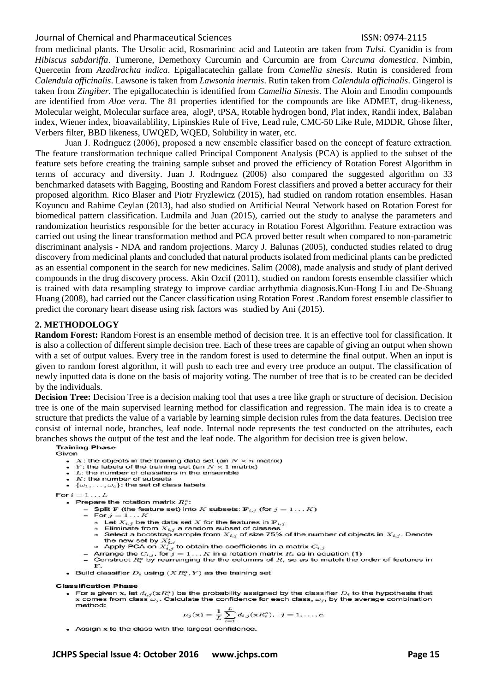#### Journal of Chemical and Pharmaceutical Sciences ISSN: 0974-2115

from medicinal plants. The Ursolic acid, Rosmarininc acid and Luteotin are taken from *Tulsi*. Cyanidin is from *Hibiscus sabdariffa*. Tumerone, Demethoxy Curcumin and Curcumin are from *Curcuma domestica*. Nimbin, Quercetin from *Azadirachta indica*. Epigallacatechin gallate from *Camellia sinesis*. Rutin is considered from *Calendula officinalis*. Lawsone is taken from *Lawsonia inermis*. Rutin taken from *Calendula officinalis*. Gingerol is taken from *Zingiber*. The epigallocatechin is identified from *Camellia Sinesis*. The Aloin and Emodin compounds are identified from *Aloe vera*. The 81 properties identified for the compounds are like ADMET, drug-likeness, Molecular weight, Molecular surface area, alogP, tPSA, Rotable hydrogen bond, Plat index, Randii index, Balaban index, Wiener index, bioavailablility, Lipinskies Rule of Five, Lead rule, CMC-50 Like Rule, MDDR, Ghose filter, Verbers filter, BBD likeness, UWQED, WQED, Solubility in water, etc.

Juan J. Rodrıguez (2006), proposed a new ensemble classifier based on the concept of feature extraction. The feature transformation technique called Principal Component Analysis (PCA) is applied to the subset of the feature sets before creating the training sample subset and proved the efficiency of Rotation Forest Algorithm in terms of accuracy and diversity. Juan J. Rodrıguez (2006) also compared the suggested algorithm on 33 benchmarked datasets with Bagging, Boosting and Random Forest classifiers and proved a better accuracy for their proposed algorithm. Rico Blaser and Piotr Fryzlewicz (2015), had studied on random rotation ensembles. Hasan Koyuncu and Rahime Ceylan (2013), had also studied on Artificial Neural Network based on Rotation Forest for biomedical pattern classification. Ludmila and Juan (2015), carried out the study to analyse the parameters and randomization heuristics responsible for the better accuracy in Rotation Forest Algorithm. Feature extraction was carried out using the linear transformation method and PCA proved better result when compared to non-parametric discriminant analysis - NDA and random projections. Marcy J. Balunas (2005), conducted studies related to drug discovery from medicinal plants and concluded that natural products isolated from medicinal plants can be predicted as an essential component in the search for new medicines. Salim (2008), made analysis and study of plant derived compounds in the drug discovery process. Akin Ozcif (2011), studied on random forests ensemble classifier which is trained with data resampling strategy to improve cardiac arrhythmia diagnosis.Kun-Hong Liu and De-Shuang Huang (2008), had carried out the Cancer classification using Rotation Forest .Random forest ensemble classifier to predict the coronary heart disease using risk factors was studied by Ani (2015).

#### **2. METHODOLOGY**

**Random Forest:** Random Forest is an ensemble method of decision tree. It is an effective tool for classification. It is also a collection of different simple decision tree. Each of these trees are capable of giving an output when shown with a set of output values. Every tree in the random forest is used to determine the final output. When an input is given to random forest algorithm, it will push to each tree and every tree produce an output. The classification of newly inputted data is done on the basis of majority voting. The number of tree that is to be created can be decided by the individuals.

**Decision Tree:** Decision Tree is a decision making tool that uses a tree like graph or structure of decision. Decision tree is one of the main supervised learning method for classification and regression. The main idea is to create a structure that predicts the value of a variable by learning simple decision rules from the data features. Decision tree consist of internal node, branches, leaf node. Internal node represents the test conducted on the attributes, each branches shows the output of the test and the leaf node. The algorithm for decision tree is given below.<br>Training Phase

Given

- X: the objects in the training data set (an  $N \times n$  matrix)
- Y: the labels of the training set (an  $N \times 1$  matrix)<br>• L: the number of classifiers in the ensemble
- 
- $\bullet$   $K$ : the number of subsets
- $\{\omega_1,\ldots,\omega_c\}$ : the set of class labels

For  $i=1 \ldots L$ 

- Prepare the rotation matrix  $R_i^a$ :
	- Split F (the feature set) into K subsets:  $F_{i,j}$  (for  $j = 1...K$ )
	- For  $j = 1...K$ 
		- \* Let  $X_{i,j}$  be the data set X for the features in  $\mathbf{F}_{i,j}$
		- Eliminate from  $X_{i,j}$  a random subset of classes<br>
		\* Select a bootstrap sample from  $X_{i,j}$  of size 75% of the number of objects in  $X_{i,j}$ . Denote \* Select a bootstrap sample from  $X_{i,j}$  of size 75% of the num<br>the new set by  $X'_{i,j}$  to obtain the coefficients in a matrix  $C_{i,j}$ <br>\* Apply PCA on  $X'_{i,j}$  to obtain the coefficients in a matrix  $C_{i,j}$ .<br>Arrange the  $C$
	-
	-
	- Arrange the  $C_{i,j}$ , for  $j = 1...K$  in a rotation matrix  $R_i$  as in equation (1)<br>- Construct  $R_i^o$  by rearranging the the columns of  $R_i$  so as to match the order of features in  $\mathbf{F}$
- Build classifier  $D_i$  using  $(XR_i^a, Y)$  as the training set

#### **Classification Phase**

• For a given x, let  $d_{i,j}(\mathbf{x}R_i^a)$  be the probability assigned by the classifier  $D_i$  to the hypothesis that x comes from class  $\omega_j$ . Calculate the confidence for each class,  $\omega_j$ , by the average combination method:

$$
\mu_j(\mathbf{x}) = \frac{1}{L} \sum_{i=1}^L d_{i,j}(\mathbf{x} R_i^a), \ \ j = 1, \ldots, c.
$$

• Assign x to the class with the largest confidence.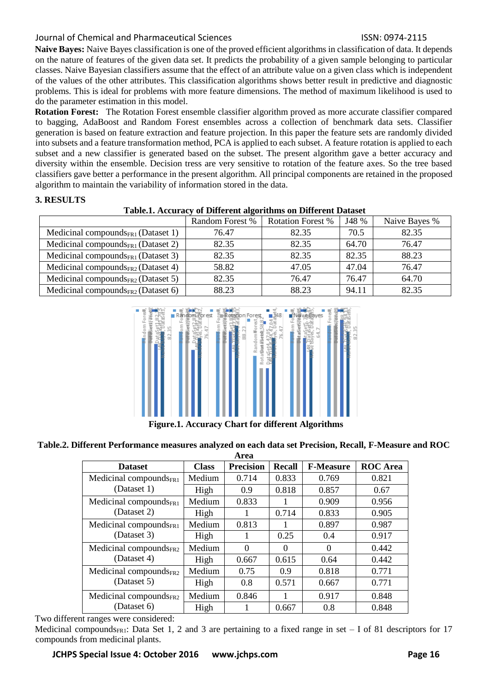## Journal of Chemical and Pharmaceutical Sciences ISSN: 0974-2115

**Naive Bayes:** Naive Bayes classification is one of the proved efficient algorithms in classification of data. It depends on the nature of features of the given data set. It predicts the probability of a given sample belonging to particular classes. Naive Bayesian classifiers assume that the effect of an attribute value on a given class which is independent of the values of the other attributes. This classification algorithms shows better result in predictive and diagnostic problems. This is ideal for problems with more feature dimensions. The method of maximum likelihood is used to do the parameter estimation in this model.

**Rotation Forest:** The Rotation Forest ensemble classifier algorithm proved as more accurate classifier compared to bagging, AdaBoost and Random Forest ensembles across a collection of benchmark data sets. Classifier generation is based on feature extraction and feature projection. In this paper the feature sets are randomly divided into subsets and a feature transformation method, PCA is applied to each subset. A feature rotation is applied to each subset and a new classifier is generated based on the subset. The present algorithm gave a better accuracy and diversity within the ensemble. Decision tress are very sensitive to rotation of the feature axes. So the tree based classifiers gave better a performance in the present algorithm. All principal components are retained in the proposed algorithm to maintain the variability of information stored in the data.

## **3. RESULTS**

|--|

|                                                | Random Forest % | <b>Rotation Forest %</b> | J48 % | Naive Bayes % |
|------------------------------------------------|-----------------|--------------------------|-------|---------------|
| Medicinal compounds $_{FR1}$ (Dataset 1)       | 76.47           | 82.35                    | 70.5  | 82.35         |
| Medicinal compounds $_{FR1}$ (Dataset 2)       | 82.35           | 82.35                    | 64.70 | 76.47         |
| Medicinal compounds $_{FR1}$ (Dataset 3)       | 82.35           | 82.35                    | 82.35 | 88.23         |
| Medicinal compounds <sub>FR2</sub> (Dataset 4) | 58.82           | 47.05                    | 47.04 | 76.47         |
| Medicinal compounds $_{FR2}$ (Dataset 5)       | 82.35           | 76.47                    | 76.47 | 64.70         |
| Medicinal compounds <sub>FR2</sub> (Dataset 6) | 88.23           | 88.23                    | 94.11 | 82.35         |



**Figure.1. Accuracy Chart for different Algorithms**

**Table.2. Different Performance measures analyzed on each data set Precision, Recall, F-Measure and ROC** 

| Area                                               |              |                  |               |                  |                 |  |  |  |  |
|----------------------------------------------------|--------------|------------------|---------------|------------------|-----------------|--|--|--|--|
| <b>Dataset</b>                                     | <b>Class</b> | <b>Precision</b> | <b>Recall</b> | <b>F-Measure</b> | <b>ROC</b> Area |  |  |  |  |
| Medicinal compounds <sub>FR1</sub><br>(Dataset 1)  | Medium       | 0.714            | 0.833         | 0.769            | 0.821           |  |  |  |  |
|                                                    | High         | 0.9              | 0.818         | 0.857            | 0.67            |  |  |  |  |
| Medicinal compounds $_{\text{FR1}}$<br>(Dataset 2) | Medium       | 0.833            |               | 0.909            | 0.956           |  |  |  |  |
|                                                    | High         | 1                | 0.714         | 0.833            | 0.905           |  |  |  |  |
| Medicinal compounds $_{\text{FR1}}$<br>(Dataset 3) | Medium       | 0.813            |               | 0.897            | 0.987           |  |  |  |  |
|                                                    | High         |                  | 0.25          | 0.4              | 0.917           |  |  |  |  |
| Medicinal compounds $_{FR2}$<br>(Dataset 4)        | Medium       | 0                | $\Omega$      | $\Omega$         | 0.442           |  |  |  |  |
|                                                    | High         | 0.667            | 0.615         | 0.64             | 0.442           |  |  |  |  |
| Medicinal compounds $_{FR2}$<br>(Dataset 5)        | Medium       | 0.75             | 0.9           | 0.818            | 0.771           |  |  |  |  |
|                                                    | High         | 0.8              | 0.571         | 0.667            | 0.771           |  |  |  |  |
| Medicinal compounds <sub>FR2</sub><br>(Dataset 6)  | Medium       | 0.846            | 1             | 0.917            | 0.848           |  |  |  |  |
|                                                    | High         |                  | 0.667         | 0.8              | 0.848           |  |  |  |  |

Two different ranges were considered:

Medicinal compounds<sub>FR1</sub>: Data Set 1, 2 and 3 are pertaining to a fixed range in set – I of 81 descriptors for 17 compounds from medicinal plants.